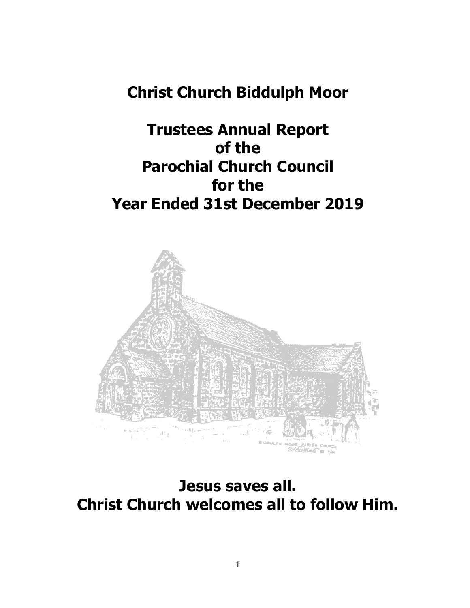# **Christ Church Biddulph Moor**

# **Trustees Annual Report of the Parochial Church Council for the Year Ended 31st December 2019**



**Jesus saves all. Christ Church welcomes all to follow Him.**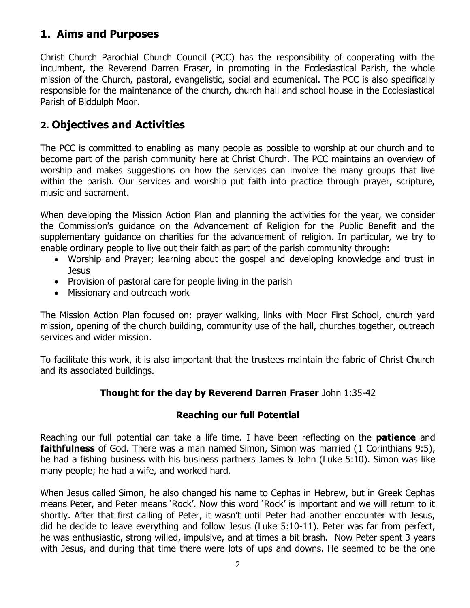# **1. Aims and Purposes**

Christ Church Parochial Church Council (PCC) has the responsibility of cooperating with the incumbent, the Reverend Darren Fraser, in promoting in the Ecclesiastical Parish, the whole mission of the Church, pastoral, evangelistic, social and ecumenical. The PCC is also specifically responsible for the maintenance of the church, church hall and school house in the Ecclesiastical Parish of Biddulph Moor.

# **2. Objectives and Activities**

The PCC is committed to enabling as many people as possible to worship at our church and to become part of the parish community here at Christ Church. The PCC maintains an overview of worship and makes suggestions on how the services can involve the many groups that live within the parish. Our services and worship put faith into practice through prayer, scripture, music and sacrament.

When developing the Mission Action Plan and planning the activities for the year, we consider the Commission's guidance on the Advancement of Religion for the Public Benefit and the supplementary guidance on charities for the advancement of religion. In particular, we try to enable ordinary people to live out their faith as part of the parish community through:

- Worship and Prayer; learning about the gospel and developing knowledge and trust in **Jesus**
- Provision of pastoral care for people living in the parish
- Missionary and outreach work

The Mission Action Plan focused on: prayer walking, links with Moor First School, church yard mission, opening of the church building, community use of the hall, churches together, outreach services and wider mission.

To facilitate this work, it is also important that the trustees maintain the fabric of Christ Church and its associated buildings.

# **Thought for the day by Reverend Darren Fraser** John 1:35-42

# **Reaching our full Potential**

Reaching our full potential can take a life time. I have been reflecting on the **patience** and **faithfulness** of God. There was a man named Simon, Simon was married (1 Corinthians 9:5), he had a fishing business with his business partners James & John (Luke 5:10). Simon was like many people; he had a wife, and worked hard.

When Jesus called Simon, he also changed his name to Cephas in Hebrew, but in Greek Cephas means Peter, and Peter means 'Rock'. Now this word 'Rock' is important and we will return to it shortly. After that first calling of Peter, it wasn't until Peter had another encounter with Jesus, did he decide to leave everything and follow Jesus (Luke 5:10-11). Peter was far from perfect, he was enthusiastic, strong willed, impulsive, and at times a bit brash. Now Peter spent 3 years with Jesus, and during that time there were lots of ups and downs. He seemed to be the one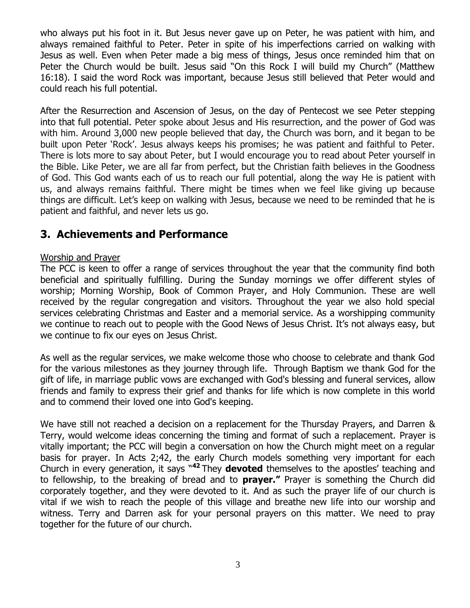who always put his foot in it. But Jesus never gave up on Peter, he was patient with him, and always remained faithful to Peter. Peter in spite of his imperfections carried on walking with Jesus as well. Even when Peter made a big mess of things, Jesus once reminded him that on Peter the Church would be built. Jesus said "On this Rock I will build my Church" (Matthew 16:18). I said the word Rock was important, because Jesus still believed that Peter would and could reach his full potential.

After the Resurrection and Ascension of Jesus, on the day of Pentecost we see Peter stepping into that full potential. Peter spoke about Jesus and His resurrection, and the power of God was with him. Around 3,000 new people believed that day, the Church was born, and it began to be built upon Peter 'Rock'. Jesus always keeps his promises; he was patient and faithful to Peter. There is lots more to say about Peter, but I would encourage you to read about Peter yourself in the Bible. Like Peter, we are all far from perfect, but the Christian faith believes in the Goodness of God. This God wants each of us to reach our full potential, along the way He is patient with us, and always remains faithful. There might be times when we feel like giving up because things are difficult. Let's keep on walking with Jesus, because we need to be reminded that he is patient and faithful, and never lets us go.

# **3. Achievements and Performance**

## Worship and Prayer

The PCC is keen to offer a range of services throughout the year that the community find both beneficial and spiritually fulfilling. During the Sunday mornings we offer different styles of worship; Morning Worship, Book of Common Prayer, and Holy Communion. These are well received by the regular congregation and visitors. Throughout the year we also hold special services celebrating Christmas and Easter and a memorial service. As a worshipping community we continue to reach out to people with the Good News of Jesus Christ. It's not always easy, but we continue to fix our eyes on Jesus Christ.

As well as the regular services, we make welcome those who choose to celebrate and thank God for the various milestones as they journey through life. Through Baptism we thank God for the gift of life, in marriage public vows are exchanged with God's blessing and funeral services, allow friends and family to express their grief and thanks for life which is now complete in this world and to commend their loved one into God's keeping.

We have still not reached a decision on a replacement for the Thursday Prayers, and Darren & Terry, would welcome ideas concerning the timing and format of such a replacement. Prayer is vitally important; the PCC will begin a conversation on how the Church might meet on a regular basis for prayer. In Acts 2;42, the early Church models something very important for each Church in every generation, it says " **<sup>42</sup>** They **devoted** themselves to the apostles' teaching and to fellowship, to the breaking of bread and to **prayer."** Prayer is something the Church did corporately together, and they were devoted to it. And as such the prayer life of our church is vital if we wish to reach the people of this village and breathe new life into our worship and witness. Terry and Darren ask for your personal prayers on this matter. We need to pray together for the future of our church.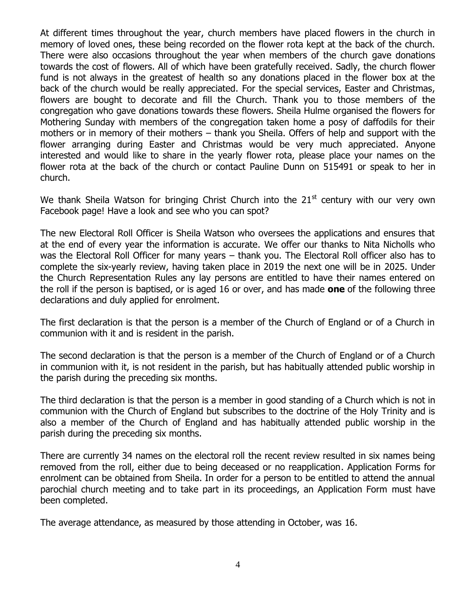At different times throughout the year, church members have placed flowers in the church in memory of loved ones, these being recorded on the flower rota kept at the back of the church. There were also occasions throughout the year when members of the church gave donations towards the cost of flowers. All of which have been gratefully received. Sadly, the church flower fund is not always in the greatest of health so any donations placed in the flower box at the back of the church would be really appreciated. For the special services, Easter and Christmas, flowers are bought to decorate and fill the Church. Thank you to those members of the congregation who gave donations towards these flowers. Sheila Hulme organised the flowers for Mothering Sunday with members of the congregation taken home a posy of daffodils for their mothers or in memory of their mothers – thank you Sheila. Offers of help and support with the flower arranging during Easter and Christmas would be very much appreciated. Anyone interested and would like to share in the yearly flower rota, please place your names on the flower rota at the back of the church or contact Pauline Dunn on 515491 or speak to her in church.

We thank Sheila Watson for bringing Christ Church into the  $21<sup>st</sup>$  century with our very own Facebook page! Have a look and see who you can spot?

The new Electoral Roll Officer is Sheila Watson who oversees the applications and ensures that at the end of every year the information is accurate. We offer our thanks to Nita Nicholls who was the Electoral Roll Officer for many years – thank you. The Electoral Roll officer also has to complete the six-yearly review, having taken place in 2019 the next one will be in 2025. Under the Church Representation Rules any lay persons are entitled to have their names entered on the roll if the person is baptised, or is aged 16 or over, and has made **one** of the following three declarations and duly applied for enrolment.

The first declaration is that the person is a member of the Church of England or of a Church in communion with it and is resident in the parish.

The second declaration is that the person is a member of the Church of England or of a Church in communion with it, is not resident in the parish, but has habitually attended public worship in the parish during the preceding six months.

The third declaration is that the person is a member in good standing of a Church which is not in communion with the Church of England but subscribes to the doctrine of the Holy Trinity and is also a member of the Church of England and has habitually attended public worship in the parish during the preceding six months.

There are currently 34 names on the electoral roll the recent review resulted in six names being removed from the roll, either due to being deceased or no reapplication. Application Forms for enrolment can be obtained from Sheila. In order for a person to be entitled to attend the annual parochial church meeting and to take part in its proceedings, an Application Form must have been completed.

The average attendance, as measured by those attending in October, was 16.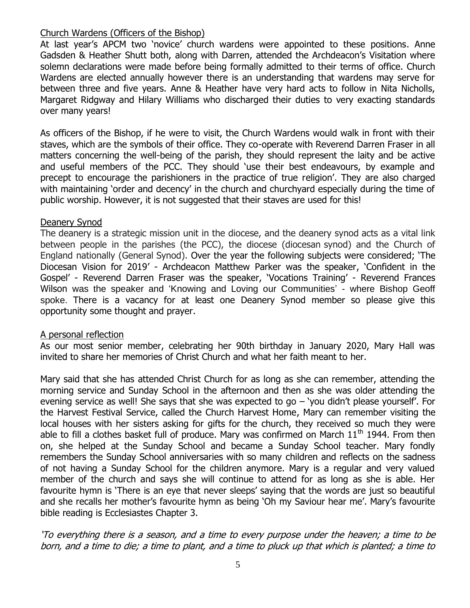## Church Wardens (Officers of the Bishop)

At last year's APCM two 'novice' church wardens were appointed to these positions. Anne Gadsden & Heather Shutt both, along with Darren, attended the Archdeacon's Visitation where solemn declarations were made before being formally admitted to their terms of office. Church Wardens are elected annually however there is an understanding that wardens may serve for between three and five years. Anne & Heather have very hard acts to follow in Nita Nicholls, Margaret Ridgway and Hilary Williams who discharged their duties to very exacting standards over many years!

As officers of the Bishop, if he were to visit, the Church Wardens would walk in front with their staves, which are the symbols of their office. They co-operate with Reverend Darren Fraser in all matters concerning the well-being of the parish, they should represent the laity and be active and useful members of the PCC. They should 'use their best endeavours, by example and precept to encourage the parishioners in the practice of true religion'. They are also charged with maintaining 'order and decency' in the church and churchyard especially during the time of public worship. However, it is not suggested that their staves are used for this!

#### Deanery Synod

The deanery is a strategic mission unit in the diocese, and the deanery synod acts as a vital link between people in the parishes (the PCC), the diocese (diocesan synod) and the Church of England nationally (General Synod). Over the year the following subjects were considered; 'The Diocesan Vision for 2019' - Archdeacon Matthew Parker was the speaker, 'Confident in the Gospel' - Reverend Darren Fraser was the speaker, 'Vocations Training' - Reverend Frances Wilson was the speaker and 'Knowing and Loving our Communities' - where Bishop Geoff spoke. There is a vacancy for at least one Deanery Synod member so please give this opportunity some thought and prayer.

#### A personal reflection

As our most senior member, celebrating her 90th birthday in January 2020, Mary Hall was invited to share her memories of Christ Church and what her faith meant to her.

Mary said that she has attended Christ Church for as long as she can remember, attending the morning service and Sunday School in the afternoon and then as she was older attending the evening service as well! She says that she was expected to go  $-$  'you didn't please yourself'. For the Harvest Festival Service, called the Church Harvest Home, Mary can remember visiting the local houses with her sisters asking for gifts for the church, they received so much they were able to fill a clothes basket full of produce. Mary was confirmed on March  $11<sup>th</sup> 1944$ . From then on, she helped at the Sunday School and became a Sunday School teacher. Mary fondly remembers the Sunday School anniversaries with so many children and reflects on the sadness of not having a Sunday School for the children anymore. Mary is a regular and very valued member of the church and says she will continue to attend for as long as she is able. Her favourite hymn is 'There is an eye that never sleeps' saying that the words are just so beautiful and she recalls her mother's favourite hymn as being 'Oh my Saviour hear me'. Mary's favourite bible reading is Ecclesiastes Chapter 3.

'To everything there is a season, and a time to every purpose under the heaven; a time to be born, and a time to die; a time to plant, and a time to pluck up that which is planted; a time to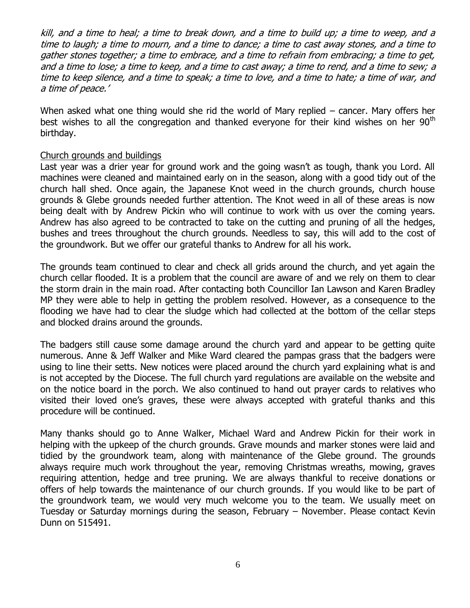kill, and a time to heal; a time to break down, and a time to build up; a time to weep, and a time to laugh; a time to mourn, and a time to dance; a time to cast away stones, and a time to gather stones together; a time to embrace, and a time to refrain from embracing; a time to get, and a time to lose; a time to keep, and a time to cast away; a time to rend, and a time to sew; <sup>a</sup> time to keep silence, and a time to speak; a time to love, and a time to hate; a time of war, and a time of peace.'

When asked what one thing would she rid the world of Mary replied – cancer. Mary offers her best wishes to all the congregation and thanked everyone for their kind wishes on her  $90<sup>th</sup>$ birthday.

## Church grounds and buildings

Last year was a drier year for ground work and the going wasn't as tough, thank you Lord. All machines were cleaned and maintained early on in the season, along with a good tidy out of the church hall shed. Once again, the Japanese Knot weed in the church grounds, church house grounds & Glebe grounds needed further attention. The Knot weed in all of these areas is now being dealt with by Andrew Pickin who will continue to work with us over the coming years. Andrew has also agreed to be contracted to take on the cutting and pruning of all the hedges, bushes and trees throughout the church grounds. Needless to say, this will add to the cost of the groundwork. But we offer our grateful thanks to Andrew for all his work.

The grounds team continued to clear and check all grids around the church, and yet again the church cellar flooded. It is a problem that the council are aware of and we rely on them to clear the storm drain in the main road. After contacting both Councillor Ian Lawson and Karen Bradley MP they were able to help in getting the problem resolved. However, as a consequence to the flooding we have had to clear the sludge which had collected at the bottom of the cellar steps and blocked drains around the grounds.

The badgers still cause some damage around the church yard and appear to be getting quite numerous. Anne & Jeff Walker and Mike Ward cleared the pampas grass that the badgers were using to line their setts. New notices were placed around the church yard explaining what is and is not accepted by the Diocese. The full church yard regulations are available on the website and on the notice board in the porch. We also continued to hand out prayer cards to relatives who visited their loved one's graves, these were always accepted with grateful thanks and this procedure will be continued.

Many thanks should go to Anne Walker, Michael Ward and Andrew Pickin for their work in helping with the upkeep of the church grounds. Grave mounds and marker stones were laid and tidied by the groundwork team, along with maintenance of the Glebe ground. The grounds always require much work throughout the year, removing Christmas wreaths, mowing, graves requiring attention, hedge and tree pruning. We are always thankful to receive donations or offers of help towards the maintenance of our church grounds. If you would like to be part of the groundwork team, we would very much welcome you to the team. We usually meet on Tuesday or Saturday mornings during the season, February – November. Please contact Kevin Dunn on 515491.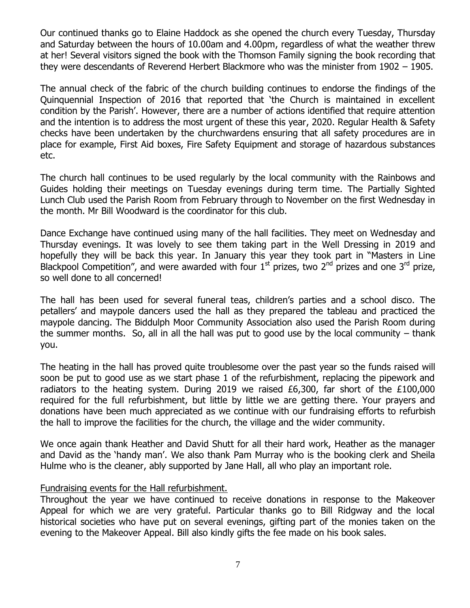Our continued thanks go to Elaine Haddock as she opened the church every Tuesday, Thursday and Saturday between the hours of 10.00am and 4.00pm, regardless of what the weather threw at her! Several visitors signed the book with the Thomson Family signing the book recording that they were descendants of Reverend Herbert Blackmore who was the minister from 1902 – 1905.

The annual check of the fabric of the church building continues to endorse the findings of the Quinquennial Inspection of 2016 that reported that 'the Church is maintained in excellent condition by the Parish'. However, there are a number of actions identified that require attention and the intention is to address the most urgent of these this year, 2020. Regular Health & Safety checks have been undertaken by the churchwardens ensuring that all safety procedures are in place for example, First Aid boxes, Fire Safety Equipment and storage of hazardous substances etc.

The church hall continues to be used regularly by the local community with the Rainbows and Guides holding their meetings on Tuesday evenings during term time. The Partially Sighted Lunch Club used the Parish Room from February through to November on the first Wednesday in the month. Mr Bill Woodward is the coordinator for this club.

Dance Exchange have continued using many of the hall facilities. They meet on Wednesday and Thursday evenings. It was lovely to see them taking part in the Well Dressing in 2019 and hopefully they will be back this year. In January this year they took part in "Masters in Line Blackpool Competition", and were awarded with four  $1<sup>st</sup>$  prizes, two 2<sup>nd</sup> prizes and one 3<sup>rd</sup> prize, so well done to all concerned!

The hall has been used for several funeral teas, children's parties and a school disco. The petallers' and maypole dancers used the hall as they prepared the tableau and practiced the maypole dancing. The Biddulph Moor Community Association also used the Parish Room during the summer months. So, all in all the hall was put to good use by the local community  $-$  thank you.

The heating in the hall has proved quite troublesome over the past year so the funds raised will soon be put to good use as we start phase 1 of the refurbishment, replacing the pipework and radiators to the heating system. During 2019 we raised  $£6,300$ , far short of the  $£100,000$ required for the full refurbishment, but little by little we are getting there. Your prayers and donations have been much appreciated as we continue with our fundraising efforts to refurbish the hall to improve the facilities for the church, the village and the wider community.

We once again thank Heather and David Shutt for all their hard work, Heather as the manager and David as the 'handy man'. We also thank Pam Murray who is the booking clerk and Sheila Hulme who is the cleaner, ably supported by Jane Hall, all who play an important role.

#### Fundraising events for the Hall refurbishment.

Throughout the year we have continued to receive donations in response to the Makeover Appeal for which we are very grateful. Particular thanks go to Bill Ridgway and the local historical societies who have put on several evenings, gifting part of the monies taken on the evening to the Makeover Appeal. Bill also kindly gifts the fee made on his book sales.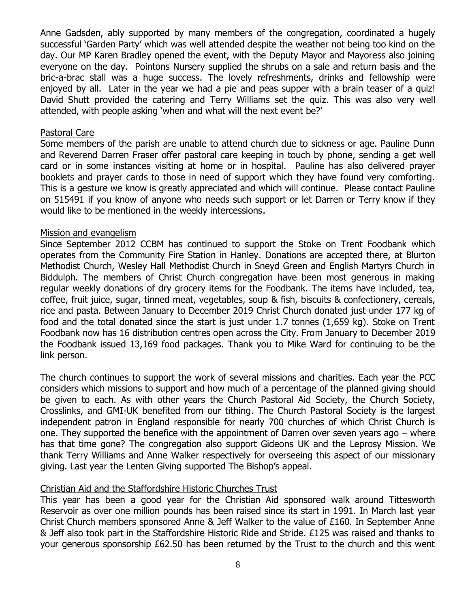Anne Gadsden, ably supported by many members of the congregation, coordinated a hugely successful 'Garden Party' which was well attended despite the weather not being too kind on the day. Our MP Karen Bradley opened the event, with the Deputy Mayor and Mayoress also joining everyone on the day. Pointons Nursery supplied the shrubs on a sale and return basis and the bric-a-brac stall was a huge success. The lovely refreshments, drinks and fellowship were enjoyed by all. Later in the year we had a pie and peas supper with a brain teaser of a quiz! David Shutt provided the catering and Terry Williams set the quiz. This was also very well attended, with people asking 'when and what will the next event be?'

#### Pastoral Care

Some members of the parish are unable to attend church due to sickness or age. Pauline Dunn and Reverend Darren Fraser offer pastoral care keeping in touch by phone, sending a get well card or in some instances visiting at home or in hospital. Pauline has also delivered prayer booklets and prayer cards to those in need of support which they have found very comforting. This is a gesture we know is greatly appreciated and which will continue. Please contact Pauline on 515491 if you know of anyone who needs such support or let Darren or Terry know if they would like to be mentioned in the weekly intercessions.

#### Mission and evangelism

Since September 2012 CCBM has continued to support the Stoke on Trent Foodbank which operates from the Community Fire Station in Hanley. Donations are accepted there, at Blurton Methodist Church, Wesley Hall Methodist Church in Sneyd Green and English Martyrs Church in Biddulph. The members of Christ Church congregation have been most generous in making regular weekly donations of dry grocery items for the Foodbank. The items have included, tea, coffee, fruit juice, sugar, tinned meat, vegetables, soup & fish, biscuits & confectionery, cereals, rice and pasta. Between January to December 2019 Christ Church donated just under 177 kg of food and the total donated since the start is just under 1.7 tonnes (1,659 kg). Stoke on Trent Foodbank now has 16 distribution centres open across the City. From January to December 2019 the Foodbank issued 13,169 food packages. Thank you to Mike Ward for continuing to be the link person.

The church continues to support the work of several missions and charities. Each year the PCC considers which missions to support and how much of a percentage of the planned giving should be given to each. As with other years the Church Pastoral Aid Society, the Church Society, Crosslinks, and GMI-UK benefited from our tithing. The Church Pastoral Society is the largest independent patron in England responsible for nearly 700 churches of which Christ Church is one. They supported the benefice with the appointment of Darren over seven years ago – where has that time gone? The congregation also support Gideons UK and the Leprosy Mission. We thank Terry Williams and Anne Walker respectively for overseeing this aspect of our missionary giving. Last year the Lenten Giving supported The Bishop's appeal.

#### Christian Aid and the Staffordshire Historic Churches Trust

This year has been a good year for the Christian Aid sponsored walk around Tittesworth Reservoir as over one million pounds has been raised since its start in 1991. In March last year Christ Church members sponsored Anne & Jeff Walker to the value of £160. In September Anne & Jeff also took part in the Staffordshire Historic Ride and Stride. £125 was raised and thanks to your generous sponsorship £62.50 has been returned by the Trust to the church and this went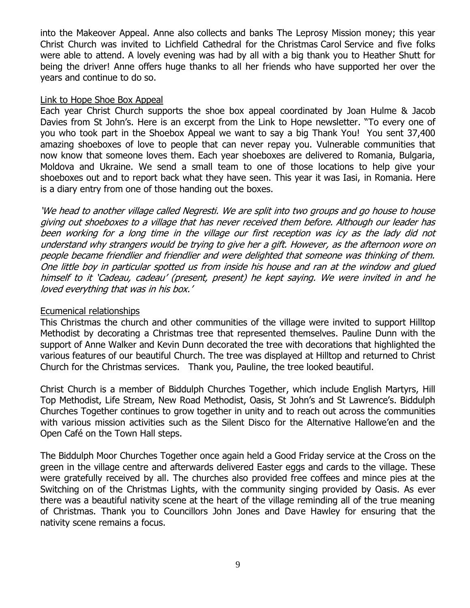into the Makeover Appeal. Anne also collects and banks The Leprosy Mission money; this year Christ Church was invited to Lichfield Cathedral for the Christmas Carol Service and five folks were able to attend. A lovely evening was had by all with a big thank you to Heather Shutt for being the driver! Anne offers huge thanks to all her friends who have supported her over the years and continue to do so.

#### Link to Hope Shoe Box Appeal

Each year Christ Church supports the shoe box appeal coordinated by Joan Hulme & Jacob Davies from St John's. Here is an excerpt from the Link to Hope newsletter. "To every one of you who took part in the Shoebox Appeal we want to say a big Thank You! You sent 37,400 amazing shoeboxes of love to people that can never repay you. Vulnerable communities that now know that someone loves them. Each year shoeboxes are delivered to Romania, Bulgaria, Moldova and Ukraine. We send a small team to one of those locations to help give your shoeboxes out and to report back what they have seen. This year it was Iasi, in Romania. Here is a diary entry from one of those handing out the boxes.

'We head to another village called Negresti. We are split into two groups and go house to house giving out shoeboxes to a village that has never received them before. Although our leader has been working for a long time in the village our first reception was icy as the lady did not understand why strangers would be trying to give her a gift. However, as the afternoon wore on people became friendlier and friendlier and were delighted that someone was thinking of them. One little boy in particular spotted us from inside his house and ran at the window and glued himself to it 'Cadeau, cadeau' (present, present) he kept saying. We were invited in and he loved everything that was in his box.'

#### Ecumenical relationships

This Christmas the church and other communities of the village were invited to support Hilltop Methodist by decorating a Christmas tree that represented themselves. Pauline Dunn with the support of Anne Walker and Kevin Dunn decorated the tree with decorations that highlighted the various features of our beautiful Church. The tree was displayed at Hilltop and returned to Christ Church for the Christmas services. Thank you, Pauline, the tree looked beautiful.

Christ Church is a member of Biddulph Churches Together, which include English Martyrs, Hill Top Methodist, Life Stream, New Road Methodist, Oasis, St John's and St Lawrence's. Biddulph Churches Together continues to grow together in unity and to reach out across the communities with various mission activities such as the Silent Disco for the Alternative Hallowe'en and the Open Café on the Town Hall steps.

The Biddulph Moor Churches Together once again held a Good Friday service at the Cross on the green in the village centre and afterwards delivered Easter eggs and cards to the village. These were gratefully received by all. The churches also provided free coffees and mince pies at the Switching on of the Christmas Lights, with the community singing provided by Oasis. As ever there was a beautiful nativity scene at the heart of the village reminding all of the true meaning of Christmas. Thank you to Councillors John Jones and Dave Hawley for ensuring that the nativity scene remains a focus.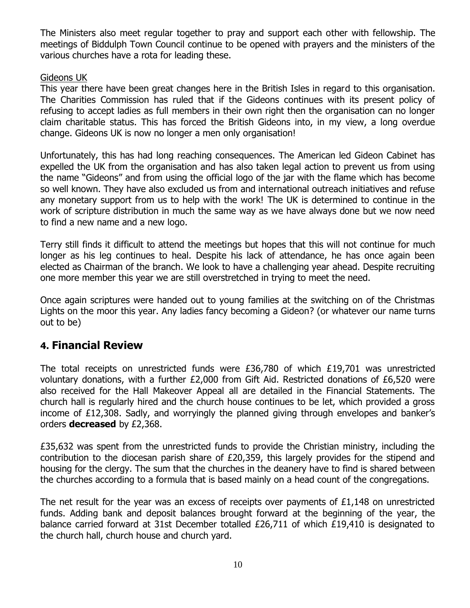The Ministers also meet regular together to pray and support each other with fellowship. The meetings of Biddulph Town Council continue to be opened with prayers and the ministers of the various churches have a rota for leading these.

## Gideons UK

This year there have been great changes here in the British Isles in regard to this organisation. The Charities Commission has ruled that if the Gideons continues with its present policy of refusing to accept ladies as full members in their own right then the organisation can no longer claim charitable status. This has forced the British Gideons into, in my view, a long overdue change. Gideons UK is now no longer a men only organisation!

Unfortunately, this has had long reaching consequences. The American led Gideon Cabinet has expelled the UK from the organisation and has also taken legal action to prevent us from using the name "Gideons" and from using the official logo of the jar with the flame which has become so well known. They have also excluded us from and international outreach initiatives and refuse any monetary support from us to help with the work! The UK is determined to continue in the work of scripture distribution in much the same way as we have always done but we now need to find a new name and a new logo.

Terry still finds it difficult to attend the meetings but hopes that this will not continue for much longer as his leg continues to heal. Despite his lack of attendance, he has once again been elected as Chairman of the branch. We look to have a challenging year ahead. Despite recruiting one more member this year we are still overstretched in trying to meet the need.

Once again scriptures were handed out to young families at the switching on of the Christmas Lights on the moor this year. Any ladies fancy becoming a Gideon? (or whatever our name turns out to be)

# **4. Financial Review**

The total receipts on unrestricted funds were £36,780 of which £19,701 was unrestricted voluntary donations, with a further £2,000 from Gift Aid. Restricted donations of £6,520 were also received for the Hall Makeover Appeal all are detailed in the Financial Statements. The church hall is regularly hired and the church house continues to be let, which provided a gross income of £12,308. Sadly, and worryingly the planned giving through envelopes and banker's orders **decreased** by £2,368.

£35,632 was spent from the unrestricted funds to provide the Christian ministry, including the contribution to the diocesan parish share of £20,359, this largely provides for the stipend and housing for the clergy. The sum that the churches in the deanery have to find is shared between the churches according to a formula that is based mainly on a head count of the congregations.

The net result for the year was an excess of receipts over payments of  $£1,148$  on unrestricted funds. Adding bank and deposit balances brought forward at the beginning of the year, the balance carried forward at 31st December totalled £26,711 of which £19,410 is designated to the church hall, church house and church yard.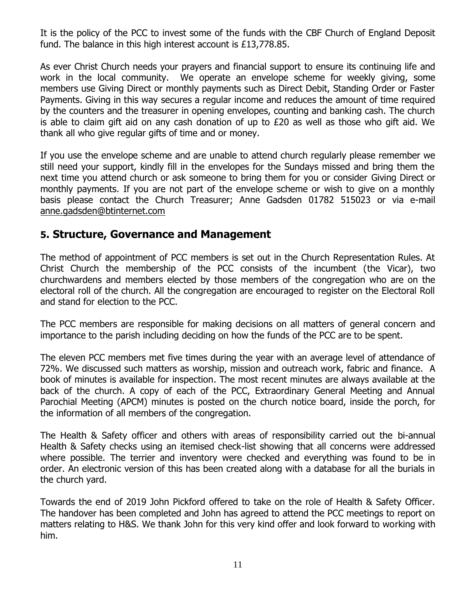It is the policy of the PCC to invest some of the funds with the CBF Church of England Deposit fund. The balance in this high interest account is £13,778.85.

As ever Christ Church needs your prayers and financial support to ensure its continuing life and work in the local community. We operate an envelope scheme for weekly giving, some members use Giving Direct or monthly payments such as Direct Debit, Standing Order or Faster Payments. Giving in this way secures a regular income and reduces the amount of time required by the counters and the treasurer in opening envelopes, counting and banking cash. The church is able to claim gift aid on any cash donation of up to  $E20$  as well as those who gift aid. We thank all who give regular gifts of time and or money.

If you use the envelope scheme and are unable to attend church regularly please remember we still need your support, kindly fill in the envelopes for the Sundays missed and bring them the next time you attend church or ask someone to bring them for you or consider Giving Direct or monthly payments. If you are not part of the envelope scheme or wish to give on a monthly basis please contact the Church Treasurer; Anne Gadsden 01782 515023 or via e-mail [anne.gadsden@btinternet.com](mailto:anne.gadsden@btinternet.com)

# **5. Structure, Governance and Management**

The method of appointment of PCC members is set out in the Church Representation Rules. At Christ Church the membership of the PCC consists of the incumbent (the Vicar), two churchwardens and members elected by those members of the congregation who are on the electoral roll of the church. All the congregation are encouraged to register on the Electoral Roll and stand for election to the PCC.

The PCC members are responsible for making decisions on all matters of general concern and importance to the parish including deciding on how the funds of the PCC are to be spent.

The eleven PCC members met five times during the year with an average level of attendance of 72%. We discussed such matters as worship, mission and outreach work, fabric and finance. A book of minutes is available for inspection. The most recent minutes are always available at the back of the church. A copy of each of the PCC, Extraordinary General Meeting and Annual Parochial Meeting (APCM) minutes is posted on the church notice board, inside the porch, for the information of all members of the congregation.

The Health & Safety officer and others with areas of responsibility carried out the bi-annual Health & Safety checks using an itemised check-list showing that all concerns were addressed where possible. The terrier and inventory were checked and everything was found to be in order. An electronic version of this has been created along with a database for all the burials in the church yard.

Towards the end of 2019 John Pickford offered to take on the role of Health & Safety Officer. The handover has been completed and John has agreed to attend the PCC meetings to report on matters relating to H&S. We thank John for this very kind offer and look forward to working with him.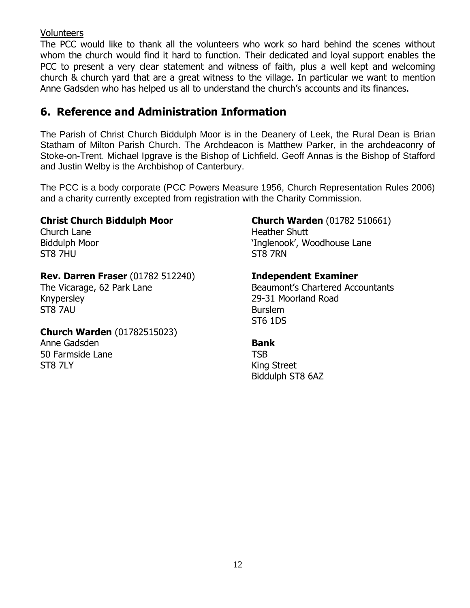## Volunteers

The PCC would like to thank all the volunteers who work so hard behind the scenes without whom the church would find it hard to function. Their dedicated and loyal support enables the PCC to present a very clear statement and witness of faith, plus a well kept and welcoming church & church yard that are a great witness to the village. In particular we want to mention Anne Gadsden who has helped us all to understand the church's accounts and its finances.

# **6. Reference and Administration Information**

The Parish of Christ Church Biddulph Moor is in the Deanery of Leek, the Rural Dean is Brian Statham of Milton Parish Church. The Archdeacon is Matthew Parker, in the archdeaconry of Stoke-on-Trent. Michael Ipgrave is the Bishop of Lichfield. Geoff Annas is the Bishop of Stafford and Justin Welby is the Archbishop of Canterbury.

The PCC is a body corporate (PCC Powers Measure 1956, Church Representation Rules 2006) and a charity currently excepted from registration with the Charity Commission.

## **Christ Church Biddulph Moor**

Church Lane Biddulph Moor ST8 7HU

# **Rev. Darren Fraser** (01782 512240)

The Vicarage, 62 Park Lane Knypersley ST8 7AU

#### **Church Warden** (01782515023)

Anne Gadsden 50 Farmside Lane **ST8 7LY** 

# **Church Warden** (01782 510661)

Heather Shutt 'Inglenook', Woodhouse Lane ST8 7RN

# **Independent Examiner**

Beaumont's Chartered Accountants 29-31 Moorland Road Burslem ST6 1DS

#### **Bank**

**TSB** King Street Biddulph ST8 6AZ